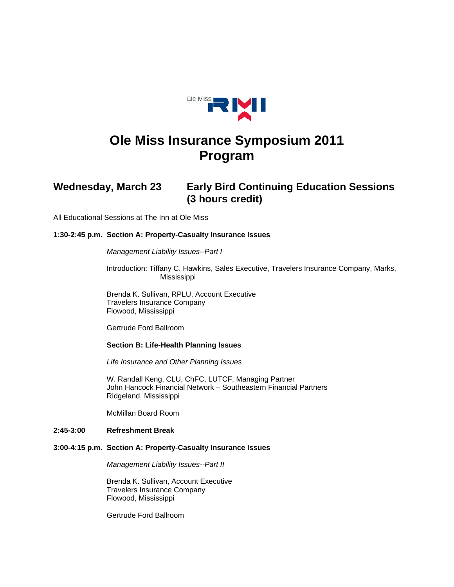

# **Ole Miss Insurance Symposium 2011 Program**

# **Wednesday, March 23 Early Bird Continuing Education Sessions (3 hours credit)**

All Educational Sessions at The Inn at Ole Miss

# **1:30-2:45 p.m. Section A: Property-Casualty Insurance Issues**

#### *Management Liability Issues--Part I*

 Introduction: Tiffany C. Hawkins, Sales Executive, Travelers Insurance Company, Marks, Mississippi

 Brenda K. Sullivan, RPLU, Account Executive Travelers Insurance Company Flowood, Mississippi

Gertrude Ford Ballroom

#### **Section B: Life-Health Planning Issues**

*Life Insurance and Other Planning Issues* 

 W. Randall Keng, CLU, ChFC, LUTCF, Managing Partner John Hancock Financial Network – Southeastern Financial Partners Ridgeland, Mississippi

McMillan Board Room

### **2:45-3:00 Refreshment Break**

#### **3:00-4:15 p.m. Section A: Property-Casualty Insurance Issues**

*Management Liability Issues--Part II* 

 Brenda K. Sullivan, Account Executive Travelers Insurance Company Flowood, Mississippi

Gertrude Ford Ballroom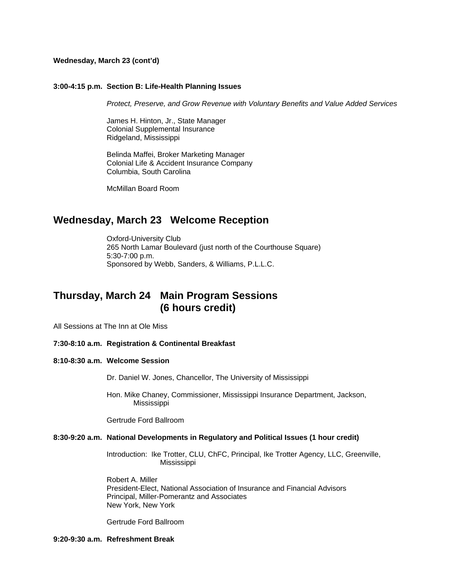#### **Wednesday, March 23 (cont'd)**

#### **3:00-4:15 p.m. Section B: Life-Health Planning Issues**

*Protect, Preserve, and Grow Revenue with Voluntary Benefits and Value Added Services* 

James H. Hinton, Jr., State Manager Colonial Supplemental Insurance Ridgeland, Mississippi

 Belinda Maffei, Broker Marketing Manager Colonial Life & Accident Insurance Company Columbia, South Carolina

McMillan Board Room

# **Wednesday, March 23 Welcome Reception**

 Oxford-University Club 265 North Lamar Boulevard (just north of the Courthouse Square) 5:30-7:00 p.m. Sponsored by Webb, Sanders, & Williams, P.L.L.C.

# **Thursday, March 24 Main Program Sessions (6 hours credit)**

All Sessions at The Inn at Ole Miss

#### **7:30-8:10 a.m. Registration & Continental Breakfast**

#### **8:10-8:30 a.m. Welcome Session**

Dr. Daniel W. Jones, Chancellor, The University of Mississippi

Hon. Mike Chaney, Commissioner, Mississippi Insurance Department, Jackson, Mississippi

Gertrude Ford Ballroom

#### **8:30-9:20 a.m. National Developments in Regulatory and Political Issues (1 hour credit)**

 Introduction: Ike Trotter, CLU, ChFC, Principal, Ike Trotter Agency, LLC, Greenville, Mississippi

Robert A. Miller President-Elect, National Association of Insurance and Financial Advisors Principal, Miller-Pomerantz and Associates New York, New York

Gertrude Ford Ballroom

# **9:20-9:30 a.m. Refreshment Break**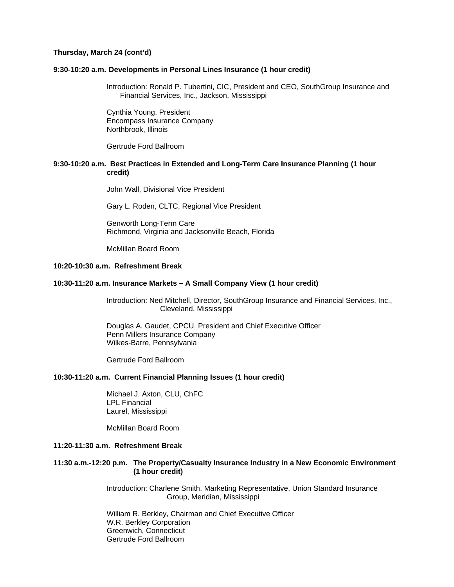#### **Thursday, March 24 (cont'd)**

#### **9:30-10:20 a.m. Developments in Personal Lines Insurance (1 hour credit)**

Introduction: Ronald P. Tubertini, CIC, President and CEO, SouthGroup Insurance and Financial Services, Inc., Jackson, Mississippi

Cynthia Young, President Encompass Insurance Company Northbrook, Illinois

Gertrude Ford Ballroom

## **9:30-10:20 a.m. Best Practices in Extended and Long-Term Care Insurance Planning (1 hour credit)**

John Wall, Divisional Vice President

Gary L. Roden, CLTC, Regional Vice President

 Genworth Long-Term Care Richmond, Virginia and Jacksonville Beach, Florida

McMillan Board Room

# **10:20-10:30 a.m. Refreshment Break**

#### **10:30-11:20 a.m. Insurance Markets – A Small Company View (1 hour credit)**

 Introduction: Ned Mitchell, Director, SouthGroup Insurance and Financial Services, Inc., Cleveland, Mississippi

Douglas A. Gaudet, CPCU, President and Chief Executive Officer Penn Millers Insurance Company Wilkes-Barre, Pennsylvania

Gertrude Ford Ballroom

### **10:30-11:20 a.m. Current Financial Planning Issues (1 hour credit)**

 Michael J. Axton, CLU, ChFC LPL Financial Laurel, Mississippi

McMillan Board Room

# **11:20-11:30 a.m. Refreshment Break**

### **11:30 a.m.-12:20 p.m. The Property/Casualty Insurance Industry in a New Economic Environment (1 hour credit)**

 Introduction: Charlene Smith, Marketing Representative, Union Standard Insurance Group, Meridian, Mississippi

 William R. Berkley, Chairman and Chief Executive Officer W.R. Berkley Corporation Greenwich, Connecticut Gertrude Ford Ballroom